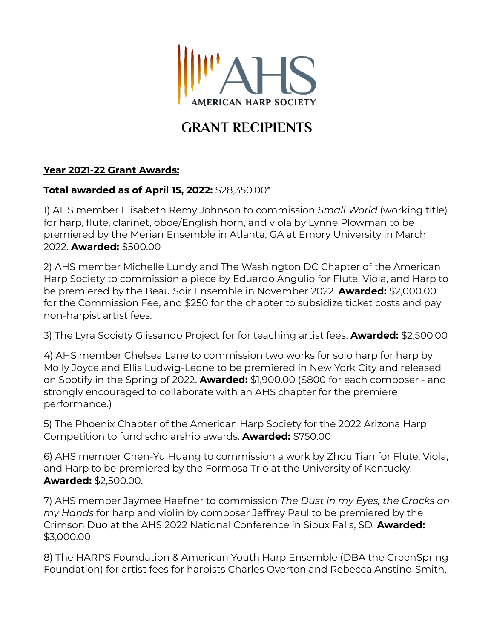

# **GRANT RECIPIENTS**

### **Year 2021-22 Grant Awards:**

### **Total awarded as of April 15, 2022:** \$28,350.00\*

1) AHS member Elisabeth Remy Johnson to commission *Small World* (working title) for harp, flute, clarinet, oboe/English horn, and viola by Lynne Plowman to be premiered by the Merian Ensemble in Atlanta, GA at Emory University in March 2022. **Awarded:** \$500.00

2) AHS member Michelle Lundy and The Washington DC Chapter of the American Harp Society to commission a piece by Eduardo Angulio for Flute, Viola, and Harp to be premiered by the Beau Soir Ensemble in November 2022. **Awarded:** \$2,000.00 for the Commission Fee, and \$250 for the chapter to subsidize ticket costs and pay non-harpist artist fees.

3) The Lyra Society Glissando Project for for teaching artist fees. **Awarded:** \$2,500.00

4) AHS member Chelsea Lane to commission two works for solo harp for harp by Molly Joyce and Ellis Ludwig-Leone to be premiered in New York City and released on Spotify in the Spring of 2022. **Awarded:** \$1,900.00 (\$800 for each composer - and strongly encouraged to collaborate with an AHS chapter for the premiere performance.)

5) The Phoenix Chapter of the American Harp Society for the 2022 Arizona Harp Competition to fund scholarship awards. **Awarded:** \$750.00

6) AHS member Chen-Yu Huang to commission a work by Zhou Tian for Flute, Viola, and Harp to be premiered by the Formosa Trio at the University of Kentucky. **Awarded:** \$2,500.00.

7) AHS member Jaymee Haefner to commission *The Dust in my Eyes, the Cracks on my Hands* for harp and violin by composer Jeffrey Paul to be premiered by the Crimson Duo at the AHS 2022 National Conference in Sioux Falls, SD*.* **Awarded:** \$3,000.00

8) The HARPS Foundation & American Youth Harp Ensemble (DBA the GreenSpring Foundation) for artist fees for harpists Charles Overton and Rebecca Anstine-Smith,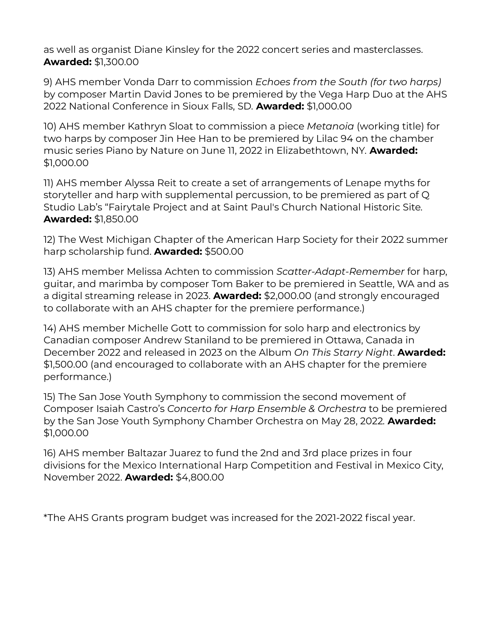as well as organist Diane Kinsley for the 2022 concert series and masterclasses. **Awarded:** \$1,300.00

9) AHS member Vonda Darr to commission *Echoes from the South (for two harps)* by composer Martin David Jones to be premiered by the Vega Harp Duo at the AHS 2022 National Conference in Sioux Falls, SD*.* **Awarded:** \$1,000.00

10) AHS member Kathryn Sloat to commission a piece *Metanoia* (working title) for two harps by composer Jin Hee Han to be premiered by Lilac 94 on the chamber music series Piano by Nature on June 11, 2022 in Elizabethtown, NY*.* **Awarded:** \$1,000.00

11) AHS member Alyssa Reit to create a set of arrangements of Lenape myths for storyteller and harp with supplemental percussion, to be premiered as part of Q Studio Lab's "Fairytale Project and at Saint Paul's Church National Historic Site*.*  **Awarded:** \$1,850.00

12) The West Michigan Chapter of the American Harp Society for their 2022 summer harp scholarship fund. **Awarded:** \$500.00

13) AHS member Melissa Achten to commission *Scatter-Adapt-Remember* for harp, guitar, and marimba by composer Tom Baker to be premiered in Seattle, WA and as a digital streaming release in 2023. **Awarded:** \$2,000.00 (and strongly encouraged to collaborate with an AHS chapter for the premiere performance.)

14) AHS member Michelle Gott to commission for solo harp and electronics by Canadian composer Andrew Staniland to be premiered in Ottawa, Canada in December 2022 and released in 2023 on the Album *On This Starry Night*. **Awarded:**  \$1,500.00 (and encouraged to collaborate with an AHS chapter for the premiere performance.)

15) The San Jose Youth Symphony to commission the second movement of Composer Isaiah Castro's *Concerto for Harp Ensemble & Orchestra* to be premiered by the San Jose Youth Symphony Chamber Orchestra on May 28, 2022*.* **Awarded:** \$1,000.00

16) AHS member Baltazar Juarez to fund the 2nd and 3rd place prizes in four divisions for the Mexico International Harp Competition and Festival in Mexico City, November 2022. **Awarded:** \$4,800.00

\*The AHS Grants program budget was increased for the 2021-2022 fiscal year.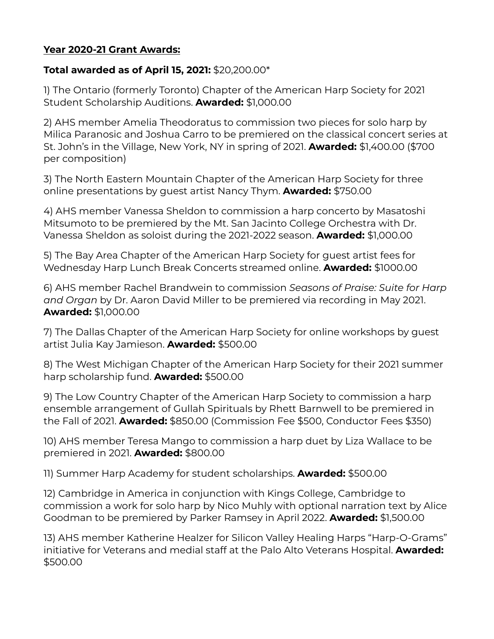# **Year 2020-21 Grant Awards:**

## **Total awarded as of April 15, 2021:** \$20,200.00\*

1) The Ontario (formerly Toronto) Chapter of the American Harp Society for 2021 Student Scholarship Auditions. **Awarded:** \$1,000.00

2) AHS member Amelia Theodoratus to commission two pieces for solo harp by Milica Paranosic and Joshua Carro to be premiered on the classical concert series at St. John's in the Village, New York, NY in spring of 2021. **Awarded:** \$1,400.00 (\$700 per composition)

3) The North Eastern Mountain Chapter of the American Harp Society for three online presentations by guest artist Nancy Thym. **Awarded:** \$750.00

4) AHS member Vanessa Sheldon to commission a harp concerto by Masatoshi Mitsumoto to be premiered by the Mt. San Jacinto College Orchestra with Dr. Vanessa Sheldon as soloist during the 2021-2022 season. **Awarded:** \$1,000.00

5) The Bay Area Chapter of the American Harp Society for guest artist fees for Wednesday Harp Lunch Break Concerts streamed online. **Awarded:** \$1000.00

6) AHS member Rachel Brandwein to commission *Seasons of Praise: Suite for Harp and Organ* by Dr. Aaron David Miller to be premiered via recording in May 2021. **Awarded:** \$1,000.00

7) The Dallas Chapter of the American Harp Society for online workshops by guest artist Julia Kay Jamieson. **Awarded:** \$500.00

8) The West Michigan Chapter of the American Harp Society for their 2021 summer harp scholarship fund. **Awarded:** \$500.00

9) The Low Country Chapter of the American Harp Society to commission a harp ensemble arrangement of Gullah Spirituals by Rhett Barnwell to be premiered in the Fall of 2021. **Awarded:** \$850.00 (Commission Fee \$500, Conductor Fees \$350)

10) AHS member Teresa Mango to commission a harp duet by Liza Wallace to be premiered in 2021. **Awarded:** \$800.00

11) Summer Harp Academy for student scholarships. **Awarded:** \$500.00

12) Cambridge in America in conjunction with Kings College, Cambridge to commission a work for solo harp by Nico Muhly with optional narration text by Alice Goodman to be premiered by Parker Ramsey in April 2022. **Awarded:** \$1,500.00

13) AHS member Katherine Healzer for Silicon Valley Healing Harps "Harp-O-Grams" initiative for Veterans and medial staff at the Palo Alto Veterans Hospital. **Awarded:** \$500.00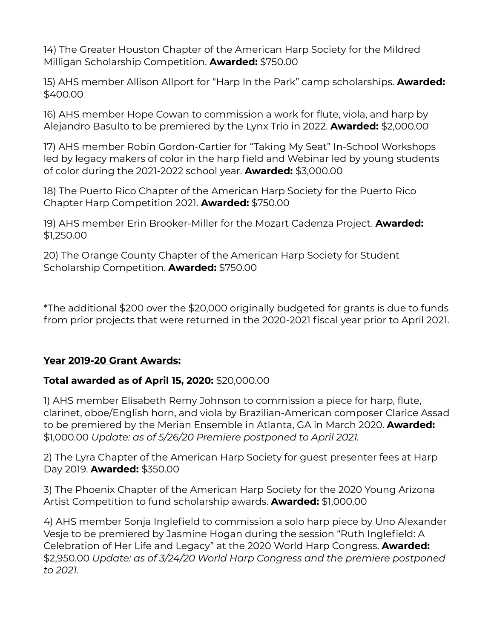14) The Greater Houston Chapter of the American Harp Society for the Mildred Milligan Scholarship Competition. **Awarded:** \$750.00

15) AHS member Allison Allport for "Harp In the Park" camp scholarships. **Awarded:** \$400.00

16) AHS member Hope Cowan to commission a work for flute, viola, and harp by Alejandro Basulto to be premiered by the Lynx Trio in 2022. **Awarded:** \$2,000.00

17) AHS member Robin Gordon-Cartier for "Taking My Seat" In-School Workshops led by legacy makers of color in the harp field and Webinar led by young students of color during the 2021-2022 school year. **Awarded:** \$3,000.00

18) The Puerto Rico Chapter of the American Harp Society for the Puerto Rico Chapter Harp Competition 2021. **Awarded:** \$750.00

19) AHS member Erin Brooker-Miller for the Mozart Cadenza Project. **Awarded:** \$1,250.00

20) The Orange County Chapter of the American Harp Society for Student Scholarship Competition. **Awarded:** \$750.00

\*The additional \$200 over the \$20,000 originally budgeted for grants is due to funds from prior projects that were returned in the 2020-2021 fiscal year prior to April 2021.

# **Year 2019-20 Grant Awards:**

# **Total awarded as of April 15, 2020:** \$20,000.00

1) AHS member Elisabeth Remy Johnson to commission a piece for harp, flute, clarinet, oboe/English horn, and viola by Brazilian-American composer Clarice Assad to be premiered by the Merian Ensemble in Atlanta, GA in March 2020. **Awarded:**  \$1,000.00 *Update: as of 5/26/20 Premiere postponed to April 2021.*

2) The Lyra Chapter of the American Harp Society for guest presenter fees at Harp Day 2019. **Awarded:** \$350.00

3) The Phoenix Chapter of the American Harp Society for the 2020 Young Arizona Artist Competition to fund scholarship awards. **Awarded:** \$1,000.00

4) AHS member Sonja Inglefield to commission a solo harp piece by Uno Alexander Vesje to be premiered by Jasmine Hogan during the session "Ruth Inglefield: A Celebration of Her Life and Legacy" at the 2020 World Harp Congress. **Awarded:**  \$2,950.00 *Update: as of 3/24/20 World Harp Congress and the premiere postponed to 2021.*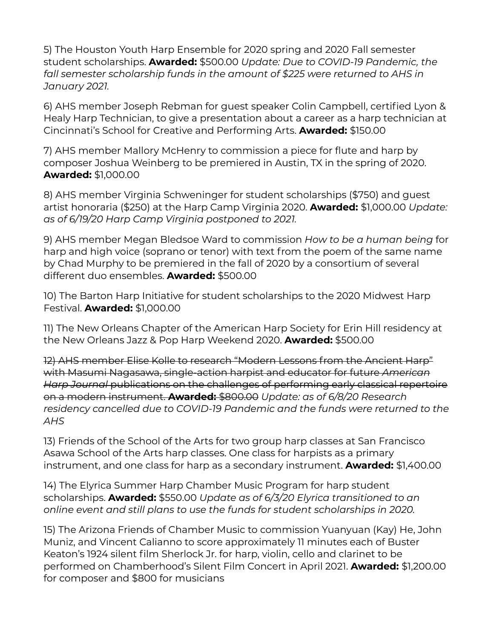5) The Houston Youth Harp Ensemble for 2020 spring and 2020 Fall semester student scholarships. **Awarded:** \$500.00 *Update: Due to COVID-19 Pandemic, the fall semester scholarship funds in the amount of \$225 were returned to AHS in January 2021.*

6) AHS member Joseph Rebman for guest speaker Colin Campbell, certified Lyon & Healy Harp Technician, to give a presentation about a career as a harp technician at Cincinnati's School for Creative and Performing Arts. **Awarded:** \$150.00

7) AHS member Mallory McHenry to commission a piece for flute and harp by composer Joshua Weinberg to be premiered in Austin, TX in the spring of 2020. **Awarded:** \$1,000.00

8) AHS member Virginia Schweninger for student scholarships (\$750) and guest artist honoraria (\$250) at the Harp Camp Virginia 2020. **Awarded:** \$1,000.00 *Update: as of 6/19/20 Harp Camp Virginia postponed to 2021.*

9) AHS member Megan Bledsoe Ward to commission *How to be a human being* for harp and high voice (soprano or tenor) with text from the poem of the same name by Chad Murphy to be premiered in the fall of 2020 by a consortium of several different duo ensembles. **Awarded:** \$500.00

10) The Barton Harp Initiative for student scholarships to the 2020 Midwest Harp Festival. **Awarded:** \$1,000.00

11) The New Orleans Chapter of the American Harp Society for Erin Hill residency at the New Orleans Jazz & Pop Harp Weekend 2020. **Awarded:** \$500.00

12) AHS member Elise Kolle to research "Modern Lessons from the Ancient Harp" with Masumi Nagasawa, single-action harpist and educator for future *American Harp Journal* publications on the challenges of performing early classical repertoire on a modern instrument. **Awarded:** \$800.00 *Update: as of 6/8/20 Research residency cancelled due to COVID-19 Pandemic and the funds were returned to the AHS*

13) Friends of the School of the Arts for two group harp classes at San Francisco Asawa School of the Arts harp classes. One class for harpists as a primary instrument, and one class for harp as a secondary instrument. **Awarded:** \$1,400.00

14) The Elyrica Summer Harp Chamber Music Program for harp student scholarships. **Awarded:** \$550.00 *Update as of 6/3/20 Elyrica transitioned to an online event and still plans to use the funds for student scholarships in 2020.* 

15) The Arizona Friends of Chamber Music to commission Yuanyuan (Kay) He, John Muniz, and Vincent Calianno to score approximately 11 minutes each of Buster Keaton's 1924 silent film Sherlock Jr. for harp, violin, cello and clarinet to be performed on Chamberhood's Silent Film Concert in April 2021. **Awarded:** \$1,200.00 for composer and \$800 for musicians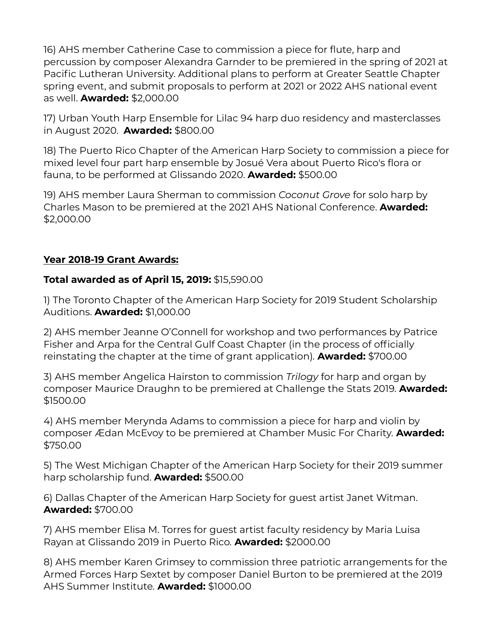16) AHS member Catherine Case to commission a piece for flute, harp and percussion by composer Alexandra Garnder to be premiered in the spring of 2021 at Pacific Lutheran University. Additional plans to perform at Greater Seattle Chapter spring event, and submit proposals to perform at 2021 or 2022 AHS national event as well. **Awarded:** \$2,000.00

17) Urban Youth Harp Ensemble for Lilac 94 harp duo residency and masterclasses in August 2020. **Awarded:** \$800.00

18) The Puerto Rico Chapter of the American Harp Society to commission a piece for mixed level four part harp ensemble by Josué Vera about Puerto Rico's flora or fauna, to be performed at Glissando 2020. **Awarded:** \$500.00

19) AHS member Laura Sherman to commission *Coconut Grove* for solo harp by Charles Mason to be premiered at the 2021 AHS National Conference. **Awarded:**  \$2,000.00

### **Year 2018-19 Grant Awards:**

### **Total awarded as of April 15, 2019:** \$15,590.00

1) The Toronto Chapter of the American Harp Society for 2019 Student Scholarship Auditions. **Awarded:** \$1,000.00

2) AHS member Jeanne O'Connell for workshop and two performances by Patrice Fisher and Arpa for the Central Gulf Coast Chapter (in the process of officially reinstating the chapter at the time of grant application)*.* **Awarded:** \$700.00

3) AHS member Angelica Hairston to commission *Trilogy* for harp and organ by composer Maurice Draughn to be premiered at Challenge the Stats 2019*.* **Awarded:** \$1500.00

4) AHS member Merynda Adams to commission a piece for harp and violin by composer Ædan McEvoy to be premiered at Chamber Music For Charity*.* **Awarded:** \$750.00

5) The West Michigan Chapter of the American Harp Society for their 2019 summer harp scholarship fund. **Awarded:** \$500.00

6) Dallas Chapter of the American Harp Society for guest artist Janet Witman. **Awarded:** \$700.00

7) AHS member Elisa M. Torres for guest artist faculty residency by Maria Luisa Rayan at Glissando 2019 in Puerto Rico*.* **Awarded:** \$2000.00

8) AHS member Karen Grimsey to commission three patriotic arrangements for the Armed Forces Harp Sextet by composer Daniel Burton to be premiered at the 2019 AHS Summer Institute*.* **Awarded:** \$1000.00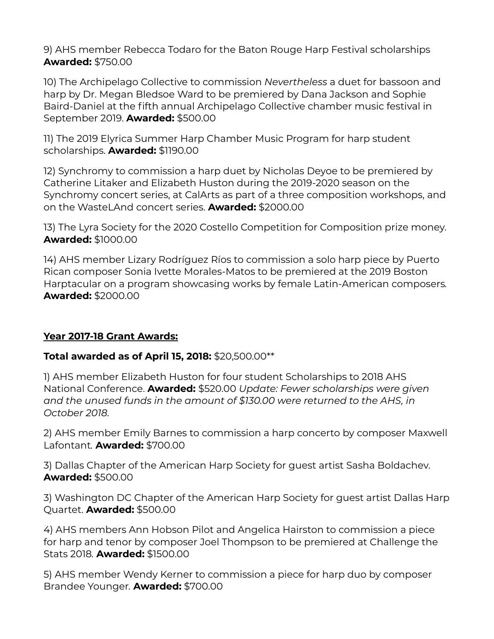9) AHS member Rebecca Todaro for the Baton Rouge Harp Festival scholarships **Awarded:** \$750.00

10) The Archipelago Collective to commission *Nevertheless* a duet for bassoon and harp by Dr. Megan Bledsoe Ward to be premiered by Dana Jackson and Sophie Baird-Daniel at the fifth annual Archipelago Collective chamber music festival in September 2019. **Awarded:** \$500.00

11) The 2019 Elyrica Summer Harp Chamber Music Program for harp student scholarships. **Awarded:** \$1190.00

12) Synchromy to commission a harp duet by Nicholas Deyoe to be premiered by Catherine Litaker and Elizabeth Huston during the 2019-2020 season on the Synchromy concert series, at CalArts as part of a three composition workshops, and on the WasteLAnd concert series. **Awarded:** \$2000.00

13) The Lyra Society for the 2020 Costello Competition for Composition prize money. **Awarded:** \$1000.00

14) AHS member Lizary Rodríguez Ríos to commission a solo harp piece by Puerto Rican composer Sonia Ivette Morales-Matos to be premiered at the 2019 Boston Harptacular on a program showcasing works by female Latin-American composers*.* **Awarded:** \$2000.00

# **Year 2017-18 Grant Awards:**

# **Total awarded as of April 15, 2018:** \$20,500.00\*\*

1) AHS member Elizabeth Huston for four student Scholarships to 2018 AHS National Conference. **Awarded:** \$520.00 *Update: Fewer scholarships were given and the unused funds in the amount of \$130.00 were returned to the AHS, in October 2018.*

2) AHS member Emily Barnes to commission a harp concerto by composer Maxwell Lafontant*.* **Awarded:** \$700.00

3) Dallas Chapter of the American Harp Society for guest artist Sasha Boldachev. **Awarded:** \$500.00

3) Washington DC Chapter of the American Harp Society for guest artist Dallas Harp Quartet. **Awarded:** \$500.00

4) AHS members Ann Hobson Pilot and Angelica Hairston to commission a piece for harp and tenor by composer Joel Thompson to be premiered at Challenge the Stats 2018*.* **Awarded:** \$1500.00

5) AHS member Wendy Kerner to commission a piece for harp duo by composer Brandee Younger*.* **Awarded:** \$700.00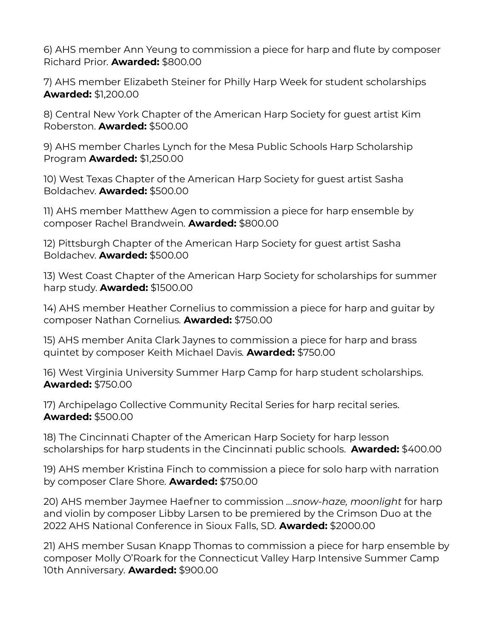6) AHS member Ann Yeung to commission a piece for harp and flute by composer Richard Prior*.* **Awarded:** \$800.00

7) AHS member Elizabeth Steiner for Philly Harp Week for student scholarships **Awarded:** \$1,200.00

8) Central New York Chapter of the American Harp Society for guest artist Kim Roberston. **Awarded:** \$500.00

9) AHS member Charles Lynch for the Mesa Public Schools Harp Scholarship Program **Awarded:** \$1,250.00

10) West Texas Chapter of the American Harp Society for guest artist Sasha Boldachev. **Awarded:** \$500.00

11) AHS member Matthew Agen to commission a piece for harp ensemble by composer Rachel Brandwein*.* **Awarded:** \$800.00

12) Pittsburgh Chapter of the American Harp Society for guest artist Sasha Boldachev. **Awarded:** \$500.00

13) West Coast Chapter of the American Harp Society for scholarships for summer harp study. **Awarded:** \$1500.00

14) AHS member Heather Cornelius to commission a piece for harp and guitar by composer Nathan Cornelius*.* **Awarded:** \$750.00

15) AHS member Anita Clark Jaynes to commission a piece for harp and brass quintet by composer Keith Michael Davis*.* **Awarded:** \$750.00

16) West Virginia University Summer Harp Camp for harp student scholarships. **Awarded:** \$750.00

17) Archipelago Collective Community Recital Series for harp recital series. **Awarded:** \$500.00

18) The Cincinnati Chapter of the American Harp Society for harp lesson scholarships for harp students in the Cincinnati public schools. **Awarded:** \$400.00

19) AHS member Kristina Finch to commission a piece for solo harp with narration by composer Clare Shore*.* **Awarded:** \$750.00

20) AHS member Jaymee Haefner to commission *…snow-haze, moonlight* for harp and violin by composer Libby Larsen to be premiered by the Crimson Duo at the 2022 AHS National Conference in Sioux Falls, SD*.* **Awarded:** \$2000.00

21) AHS member Susan Knapp Thomas to commission a piece for harp ensemble by composer Molly O'Roark for the Connecticut Valley Harp Intensive Summer Camp 10th Anniversary*.* **Awarded:** \$900.00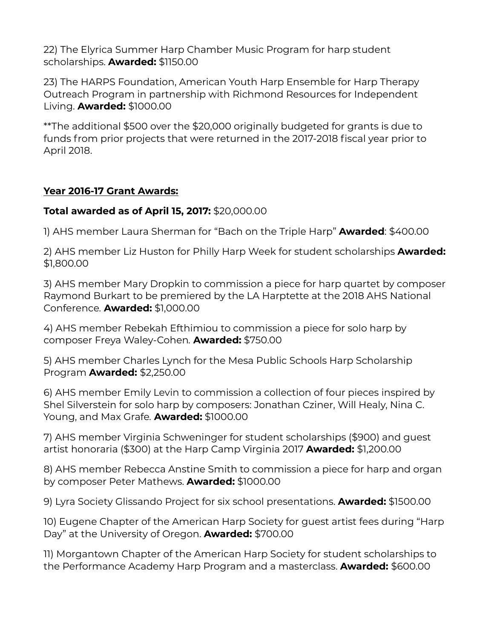22) The Elyrica Summer Harp Chamber Music Program for harp student scholarships. **Awarded:** \$1150.00

23) The HARPS Foundation, American Youth Harp Ensemble for Harp Therapy Outreach Program in partnership with Richmond Resources for Independent Living. **Awarded:** \$1000.00

\*\*The additional \$500 over the \$20,000 originally budgeted for grants is due to funds from prior projects that were returned in the 2017-2018 fiscal year prior to April 2018.

# **Year 2016-17 Grant Awards:**

### **Total awarded as of April 15, 2017:** \$20,000.00

1) AHS member Laura Sherman for "Bach on the Triple Harp" **Awarded**: \$400.00

2) AHS member Liz Huston for Philly Harp Week for student scholarships **Awarded:**  \$1,800.00

3) AHS member Mary Dropkin to commission a piece for harp quartet by composer Raymond Burkart to be premiered by the LA Harptette at the 2018 AHS National Conference*.* **Awarded:** \$1,000.00

4) AHS member Rebekah Efthimiou to commission a piece for solo harp by composer Freya Waley-Cohen*.* **Awarded:** \$750.00

5) AHS member Charles Lynch for the Mesa Public Schools Harp Scholarship Program **Awarded:** \$2,250.00

6) AHS member Emily Levin to commission a collection of four pieces inspired by Shel Silverstein for solo harp by composers: Jonathan Cziner, Will Healy, Nina C. Young, and Max Grafe*.* **Awarded:** \$1000.00

7) AHS member Virginia Schweninger for student scholarships (\$900) and guest artist honoraria (\$300) at the Harp Camp Virginia 2017 **Awarded:** \$1,200.00

8) AHS member Rebecca Anstine Smith to commission a piece for harp and organ by composer Peter Mathews. **Awarded:** \$1000.00

9) Lyra Society Glissando Project for six school presentations. **Awarded:** \$1500.00

10) Eugene Chapter of the American Harp Society for guest artist fees during "Harp Day" at the University of Oregon. **Awarded:** \$700.00

11) Morgantown Chapter of the American Harp Society for student scholarships to the Performance Academy Harp Program and a masterclass. **Awarded:** \$600.00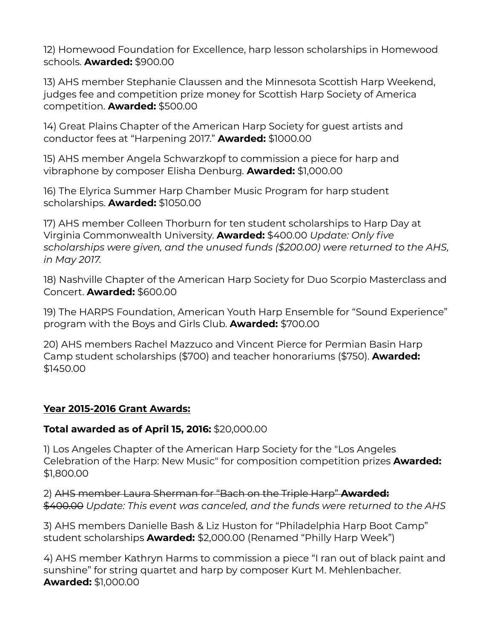12) Homewood Foundation for Excellence, harp lesson scholarships in Homewood schools. **Awarded:** \$900.00

13) AHS member Stephanie Claussen and the Minnesota Scottish Harp Weekend, judges fee and competition prize money for Scottish Harp Society of America competition. **Awarded:** \$500.00

14) Great Plains Chapter of the American Harp Society for guest artists and conductor fees at "Harpening 2017." **Awarded:** \$1000.00

15) AHS member Angela Schwarzkopf to commission a piece for harp and vibraphone by composer Elisha Denburg*.* **Awarded:** \$1,000.00

16) The Elyrica Summer Harp Chamber Music Program for harp student scholarships. **Awarded:** \$1050.00

17) AHS member Colleen Thorburn for ten student scholarships to Harp Day at Virginia Commonwealth University. **Awarded:** \$400.00 *Update: Only five scholarships were given, and the unused funds (\$200.00) were returned to the AHS, in May 2017.* 

18) Nashville Chapter of the American Harp Society for Duo Scorpio Masterclass and Concert. **Awarded:** \$600.00

19) The HARPS Foundation, American Youth Harp Ensemble for "Sound Experience" program with the Boys and Girls Club. **Awarded:** \$700.00

20) AHS members Rachel Mazzuco and Vincent Pierce for Permian Basin Harp Camp student scholarships (\$700) and teacher honorariums (\$750). **Awarded:**  \$1450.00

# **Year 2015-2016 Grant Awards:**

# **Total awarded as of April 15, 2016:** \$20,000.00

1) Los Angeles Chapter of the American Harp Society for the "Los Angeles Celebration of the Harp: New Music" for composition competition prizes **Awarded:** \$1,800.00

2) AHS member Laura Sherman for "Bach on the Triple Harp" **Awarded:** \$400.00 *Update: This event was canceled, and the funds were returned to the AHS*

3) AHS members Danielle Bash & Liz Huston for "Philadelphia Harp Boot Camp" student scholarships **Awarded:** \$2,000.00 (Renamed "Philly Harp Week")

4) AHS member Kathryn Harms to commission a piece "I ran out of black paint and sunshine" for string quartet and harp by composer Kurt M. Mehlenbacher*.* **Awarded:** \$1,000.00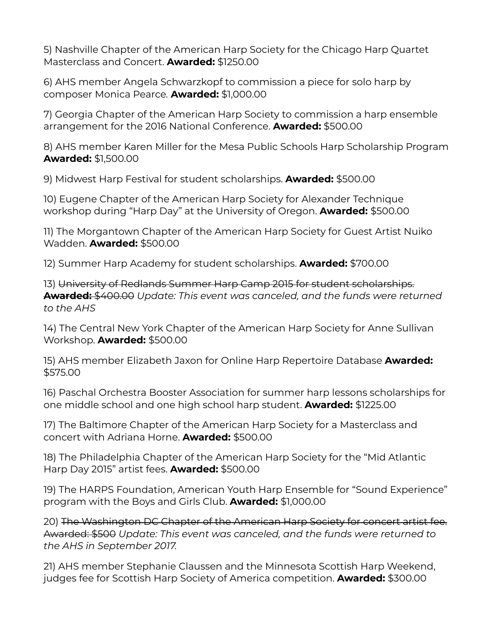5) Nashville Chapter of the American Harp Society for the Chicago Harp Quartet Masterclass and Concert. **Awarded:** \$1250.00

6) AHS member Angela Schwarzkopf to commission a piece for solo harp by composer Monica Pearce*.* **Awarded:** \$1,000.00

7) Georgia Chapter of the American Harp Society to commission a harp ensemble arrangement for the 2016 National Conference. **Awarded:** \$500.00

8) AHS member Karen Miller for the Mesa Public Schools Harp Scholarship Program **Awarded:** \$1,500.00

9) Midwest Harp Festival for student scholarships. **Awarded:** \$500.00

10) Eugene Chapter of the American Harp Society for Alexander Technique workshop during "Harp Day" at the University of Oregon. **Awarded:** \$500.00

11) The Morgantown Chapter of the American Harp Society for Guest Artist Nuiko Wadden. **Awarded:** \$500.00

12) Summer Harp Academy for student scholarships. **Awarded:** \$700.00

13) University of Redlands Summer Harp Camp 2015 for student scholarships. **Awarded:** \$400.00 *Update: This event was canceled, and the funds were returned to the AHS*

14) The Central New York Chapter of the American Harp Society for Anne Sullivan Workshop. **Awarded:** \$500.00

15) AHS member Elizabeth Jaxon for Online Harp Repertoire Database **Awarded:**  \$575.00

16) Paschal Orchestra Booster Association for summer harp lessons scholarships for one middle school and one high school harp student. **Awarded:** \$1225.00

17) The Baltimore Chapter of the American Harp Society for a Masterclass and concert with Adriana Horne. **Awarded:** \$500.00

18) The Philadelphia Chapter of the American Harp Society for the "Mid Atlantic Harp Day 2015" artist fees. **Awarded:** \$500.00

19) The HARPS Foundation, American Youth Harp Ensemble for "Sound Experience" program with the Boys and Girls Club. **Awarded:** \$1,000.00

20) The Washington DC Chapter of the American Harp Society for concert artist fee. Awarded: \$500 *Update: This event was canceled, and the funds were returned to the AHS in September 2017.*

21) AHS member Stephanie Claussen and the Minnesota Scottish Harp Weekend, judges fee for Scottish Harp Society of America competition. **Awarded:** \$300.00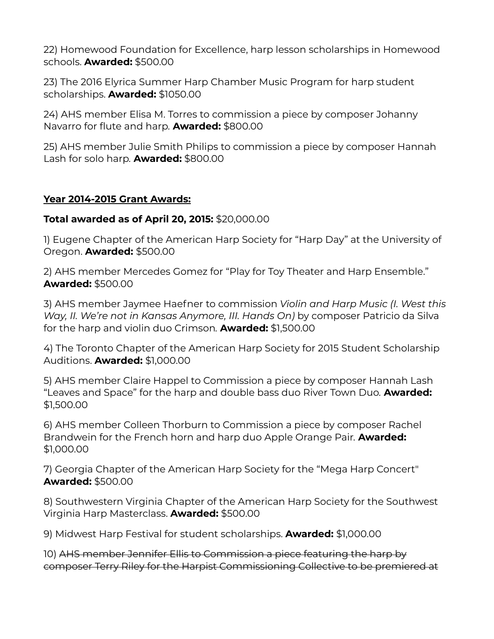22) Homewood Foundation for Excellence, harp lesson scholarships in Homewood schools. **Awarded:** \$500.00

23) The 2016 Elyrica Summer Harp Chamber Music Program for harp student scholarships. **Awarded:** \$1050.00

24) AHS member Elisa M. Torres to commission a piece by composer Johanny Navarro for flute and harp*.* **Awarded:** \$800.00

25) AHS member Julie Smith Philips to commission a piece by composer Hannah Lash for solo harp*.* **Awarded:** \$800.00

### **Year 2014-2015 Grant Awards:**

#### **Total awarded as of April 20, 2015:** \$20,000.00

1) Eugene Chapter of the American Harp Society for "Harp Day" at the University of Oregon. **Awarded:** \$500.00

2) AHS member Mercedes Gomez for "Play for Toy Theater and Harp Ensemble." **Awarded:** \$500.00

3) AHS member Jaymee Haefner to commission *Violin and Harp Music (I. West this Way, II. We're not in Kansas Anymore, III. Hands On)* by composer Patricio da Silva for the harp and violin duo Crimson*.* **Awarded:** \$1,500.00

4) The Toronto Chapter of the American Harp Society for 2015 Student Scholarship Auditions. **Awarded:** \$1,000.00

5) AHS member Claire Happel to Commission a piece by composer Hannah Lash "Leaves and Space" for the harp and double bass duo River Town Duo*.* **Awarded:** \$1,500.00

6) AHS member Colleen Thorburn to Commission a piece by composer Rachel Brandwein for the French horn and harp duo Apple Orange Pair*.* **Awarded:** \$1,000.00

7) Georgia Chapter of the American Harp Society for the "Mega Harp Concert" **Awarded:** \$500.00

8) Southwestern Virginia Chapter of the American Harp Society for the Southwest Virginia Harp Masterclass. **Awarded:** \$500.00

9) Midwest Harp Festival for student scholarships. **Awarded:** \$1,000.00

10) AHS member Jennifer Ellis to Commission a piece featuring the harp by composer Terry Riley for the Harpist Commissioning Collective to be premiered at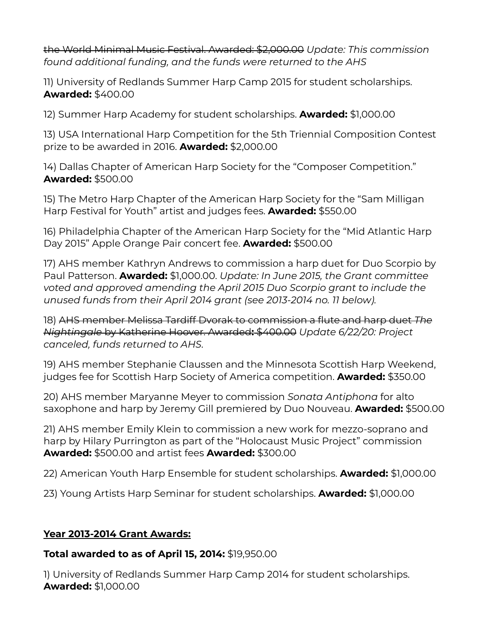the World Minimal Music Festival. Awarded: \$2,000.00 *Update: This commission found additional funding, and the funds were returned to the AHS*

11) University of Redlands Summer Harp Camp 2015 for student scholarships. **Awarded:** \$400.00

12) Summer Harp Academy for student scholarships. **Awarded:** \$1,000.00

13) USA International Harp Competition for the 5th Triennial Composition Contest prize to be awarded in 2016. **Awarded:** \$2,000.00

14) Dallas Chapter of American Harp Society for the "Composer Competition." **Awarded:** \$500.00

15) The Metro Harp Chapter of the American Harp Society for the "Sam Milligan Harp Festival for Youth" artist and judges fees. **Awarded:** \$550.00

16) Philadelphia Chapter of the American Harp Society for the "Mid Atlantic Harp Day 2015" Apple Orange Pair concert fee. **Awarded:** \$500.00

17) AHS member Kathryn Andrews to commission a harp duet for Duo Scorpio by Paul Patterson. **Awarded:** \$1,000.00. *Update: In June 2015, the Grant committee voted and approved amending the April 2015 Duo Scorpio grant to include the unused funds from their April 2014 grant (see 2013-2014 no. 11 below).*

18) AHS member Melissa Tardiff Dvorak to commission a flute and harp duet *The Nightingale* by Katherine Hoover. Awarded**:** \$400.00 *Update 6/22/20: Project canceled, funds returned to AHS.*

19) AHS member Stephanie Claussen and the Minnesota Scottish Harp Weekend, judges fee for Scottish Harp Society of America competition. **Awarded:** \$350.00

20) AHS member Maryanne Meyer to commission *Sonata Antiphona* for alto saxophone and harp by Jeremy Gill premiered by Duo Nouveau. **Awarded:** \$500.00

21) AHS member Emily Klein to commission a new work for mezzo-soprano and harp by Hilary Purrington as part of the "Holocaust Music Project" commission **Awarded:** \$500.00 and artist fees **Awarded:** \$300.00

22) American Youth Harp Ensemble for student scholarships. **Awarded:** \$1,000.00

23) Young Artists Harp Seminar for student scholarships. **Awarded:** \$1,000.00

# **Year 2013-2014 Grant Awards:**

# **Total awarded to as of April 15, 2014:** \$19,950.00

1) University of Redlands Summer Harp Camp 2014 for student scholarships. **Awarded:** \$1,000.00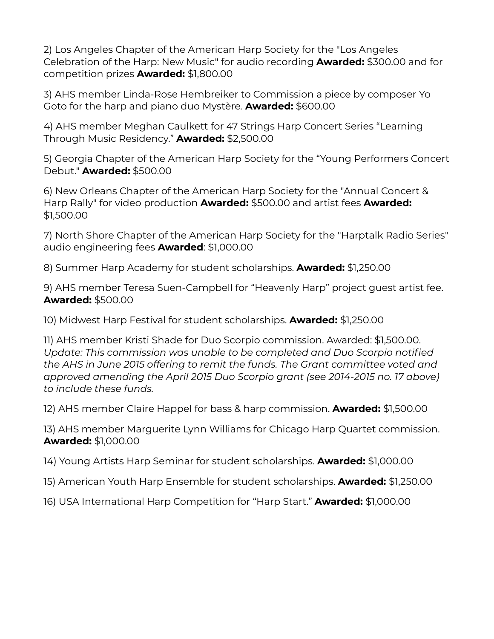2) Los Angeles Chapter of the American Harp Society for the "Los Angeles Celebration of the Harp: New Music" for audio recording **Awarded:** \$300.00 and for competition prizes **Awarded:** \$1,800.00

3) AHS member Linda-Rose Hembreiker to Commission a piece by composer Yo Goto for the harp and piano duo Mystère*.* **Awarded:** \$600.00

4) AHS member Meghan Caulkett for 47 Strings Harp Concert Series "Learning Through Music Residency." **Awarded:** \$2,500.00

5) Georgia Chapter of the American Harp Society for the "Young Performers Concert Debut." **Awarded:** \$500.00

6) New Orleans Chapter of the American Harp Society for the "Annual Concert & Harp Rally" for video production **Awarded:** \$500.00 and artist fees **Awarded:** \$1,500.00

7) North Shore Chapter of the American Harp Society for the "Harptalk Radio Series" audio engineering fees **Awarded**: \$1,000.00

8) Summer Harp Academy for student scholarships. **Awarded:** \$1,250.00

9) AHS member Teresa Suen-Campbell for "Heavenly Harp" project guest artist fee. **Awarded:** \$500.00

10) Midwest Harp Festival for student scholarships. **Awarded:** \$1,250.00

11) AHS member Kristi Shade for Duo Scorpio commission. Awarded: \$1,500.00. *Update: This commission was unable to be completed and Duo Scorpio notified the AHS in June 2015 offering to remit the funds. The Grant committee voted and approved amending the April 2015 Duo Scorpio grant (see 2014-2015 no. 17 above) to include these funds.*

12) AHS member Claire Happel for bass & harp commission. **Awarded:** \$1,500.00

13) AHS member Marguerite Lynn Williams for Chicago Harp Quartet commission. **Awarded:** \$1,000.00

14) Young Artists Harp Seminar for student scholarships. **Awarded:** \$1,000.00

15) American Youth Harp Ensemble for student scholarships. **Awarded:** \$1,250.00

16) USA International Harp Competition for "Harp Start." **Awarded:** \$1,000.00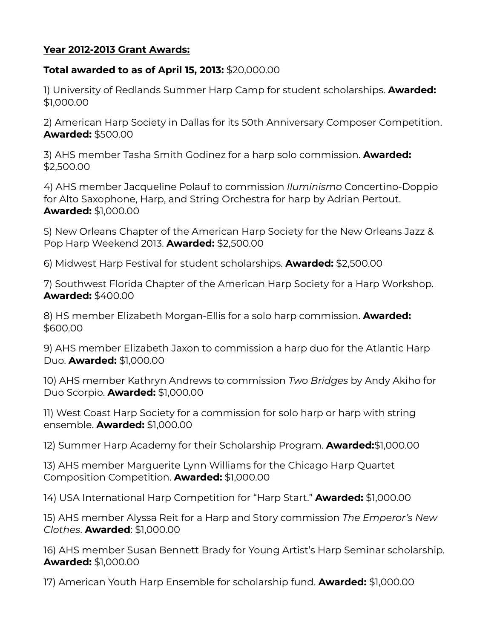### **Year 2012-2013 Grant Awards:**

#### **Total awarded to as of April 15, 2013:** \$20,000.00

1) University of Redlands Summer Harp Camp for student scholarships. **Awarded:** \$1,000.00

2) American Harp Society in Dallas for its 50th Anniversary Composer Competition. **Awarded:** \$500.00

3) AHS member Tasha Smith Godinez for a harp solo commission. **Awarded:** \$2,500.00

4) AHS member Jacqueline Polauf to commission *Iluminismo* Concertino-Doppio for Alto Saxophone, Harp, and String Orchestra for harp by Adrian Pertout. **Awarded:** \$1,000.00

5) New Orleans Chapter of the American Harp Society for the New Orleans Jazz & Pop Harp Weekend 2013. **Awarded:** \$2,500.00

6) Midwest Harp Festival for student scholarships. **Awarded:** \$2,500.00

7) Southwest Florida Chapter of the American Harp Society for a Harp Workshop. **Awarded:** \$400.00

8) HS member Elizabeth Morgan-Ellis for a solo harp commission. **Awarded:** \$600.00

9) AHS member Elizabeth Jaxon to commission a harp duo for the Atlantic Harp Duo. **Awarded:** \$1,000.00

10) AHS member Kathryn Andrews to commission *Two Bridges* by Andy Akiho for Duo Scorpio. **Awarded:** \$1,000.00

11) West Coast Harp Society for a commission for solo harp or harp with string ensemble. **Awarded:** \$1,000.00

12) Summer Harp Academy for their Scholarship Program. **Awarded:**\$1,000.00

13) AHS member Marguerite Lynn Williams for the Chicago Harp Quartet Composition Competition. **Awarded:** \$1,000.00

14) USA International Harp Competition for "Harp Start." **Awarded:** \$1,000.00

15) AHS member Alyssa Reit for a Harp and Story commission *The Emperor's New Clothes*. **Awarded**: \$1,000.00

16) AHS member Susan Bennett Brady for Young Artist's Harp Seminar scholarship. **Awarded:** \$1,000.00

17) American Youth Harp Ensemble for scholarship fund. **Awarded:** \$1,000.00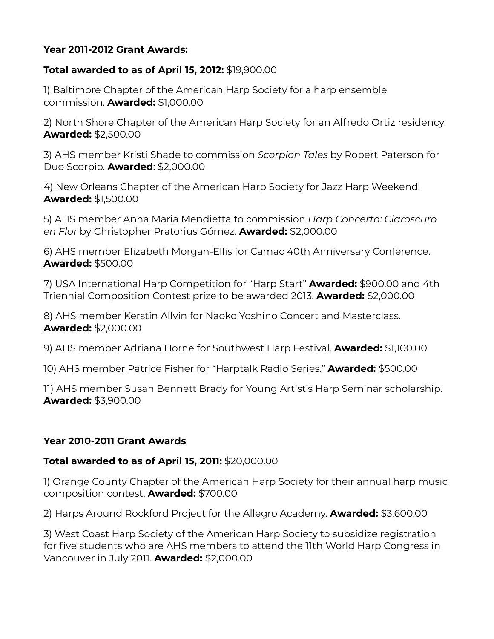## **Year 2011-2012 Grant Awards:**

#### **Total awarded to as of April 15, 2012:** \$19,900.00

1) Baltimore Chapter of the American Harp Society for a harp ensemble commission. **Awarded:** \$1,000.00

2) North Shore Chapter of the American Harp Society for an Alfredo Ortiz residency. **Awarded:** \$2,500.00

3) AHS member Kristi Shade to commission *Scorpion Tales* by Robert Paterson for Duo Scorpio. **Awarded**: \$2,000.00

4) New Orleans Chapter of the American Harp Society for Jazz Harp Weekend. **Awarded:** \$1,500.00

5) AHS member Anna Maria Mendietta to commission *Harp Concerto: Claroscuro en Flor* by Christopher Pratorius Gómez. **Awarded:** \$2,000.00

6) AHS member Elizabeth Morgan-Ellis for Camac 40th Anniversary Conference. **Awarded:** \$500.00

7) USA International Harp Competition for "Harp Start" **Awarded:** \$900.00 and 4th Triennial Composition Contest prize to be awarded 2013. **Awarded:** \$2,000.00

8) AHS member Kerstin Allvin for Naoko Yoshino Concert and Masterclass. **Awarded:** \$2,000.00

9) AHS member Adriana Horne for Southwest Harp Festival. **Awarded:** \$1,100.00

10) AHS member Patrice Fisher for "Harptalk Radio Series." **Awarded:** \$500.00

11) AHS member Susan Bennett Brady for Young Artist's Harp Seminar scholarship. **Awarded:** \$3,900.00

# **Year 2010-2011 Grant Awards**

#### **Total awarded to as of April 15, 2011:** \$20,000.00

1) Orange County Chapter of the American Harp Society for their annual harp music composition contest. **Awarded:** \$700.00

2) Harps Around Rockford Project for the Allegro Academy. **Awarded:** \$3,600.00

3) West Coast Harp Society of the American Harp Society to subsidize registration for five students who are AHS members to attend the 11th World Harp Congress in Vancouver in July 2011. **Awarded:** \$2,000.00